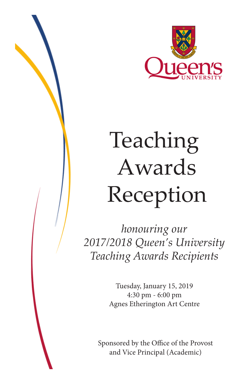

*honouring our 2017/2018 Queen's University Teaching Awards Recipients*

> Tuesday, January 15, 2019 4:30 pm - 6:00 pm Agnes Etherington Art Centre

Sponsored by the Office of the Provost and Vice Principal (Academic)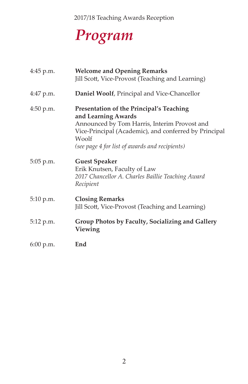## *Program*

| 4:45 p.m.   | <b>Welcome and Opening Remarks</b><br>Jill Scott, Vice-Provost (Teaching and Learning)                                                                                                                                              |
|-------------|-------------------------------------------------------------------------------------------------------------------------------------------------------------------------------------------------------------------------------------|
| 4:47 p.m.   | Daniel Woolf, Principal and Vice-Chancellor                                                                                                                                                                                         |
| 4:50 p.m.   | Presentation of the Principal's Teaching<br>and Learning Awards<br>Announced by Tom Harris, Interim Provost and<br>Vice-Principal (Academic), and conferred by Principal<br>Woolf<br>(see page 4 for list of awards and recipients) |
| 5:05 p.m.   | <b>Guest Speaker</b><br>Erik Knutsen, Faculty of Law<br>2017 Chancellor A. Charles Baillie Teaching Award<br>Recipient                                                                                                              |
| 5:10 p.m.   | <b>Closing Remarks</b><br>Jill Scott, Vice-Provost (Teaching and Learning)                                                                                                                                                          |
| 5:12 p.m.   | Group Photos by Faculty, Socializing and Gallery<br>Viewing                                                                                                                                                                         |
| $6:00$ p.m. | End                                                                                                                                                                                                                                 |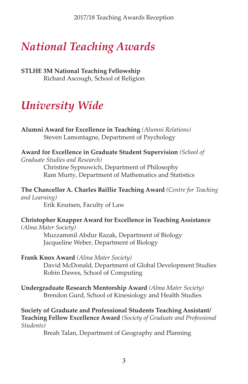### *National Teaching Awards*

**STLHE 3M National Teaching Fellowship** Richard Ascough, School of Religion

### *University Wide*

**Alumni Award for Excellence in Teaching** *(Alumni Relations)* Steven Lamontagne, Department of Psychology

**Award for Excellence in Graduate Student Supervision** *(School of Graduate Studies and Research)* 

 Christine Sypnowich, Department of Philosophy Ram Murty, Department of Mathematics and Statistics

**The Chancellor A. Charles Baillie Teaching Award** *(Centre for Teaching and Learning)* 

 Erik Knutsen, Faculty of Law

**Christopher Knapper Award for Excellence in Teaching Assistance** *(Alma Mater Society)* 

> Muzzammil Abdur Razak, Department of Biology Jacqueline Weber, Department of Biology

**Frank Knox Award** *(Alma Mater Society)* 

 David McDonald, Department of Global Development Studies Robin Dawes, School of Computing

**Undergraduate Research Mentorship Award** *(Alma Mater Society)*  Brendon Gurd, School of Kinesiology and Health Studies

**Society of Graduate and Professional Students Teaching Assistant/ Teaching Fellow Excellence Award** *(Society of Graduate and Professional Students)* 

 Breah Talan, Department of Geography and Planning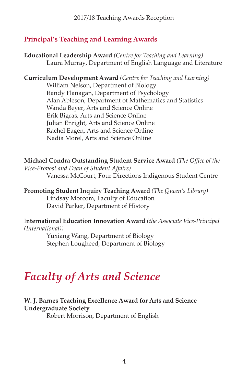#### **Principal's Teaching and Learning Awards**

**Educational Leadership Award** *(Centre for Teaching and Learning)* Laura Murray, Department of English Language and Literature

**Curriculum Development Award** *(Centre for Teaching and Learning)*

 William Nelson, Department of Biology Randy Flanagan, Department of Psychology Alan Ableson, Department of Mathematics and Statistics Wanda Beyer, Arts and Science Online Erik Bigras, Arts and Science Online Julian Enright, Arts and Science Online Rachel Eagen, Arts and Science Online Nadia Morel, Arts and Science Online

**Michael Condra Outstanding Student Service Award** (*The Office of the Vice-Provost and Dean of Student Affairs)*  Vanessa McCourt, Four Directions Indigenous Student Centre

**Promoting Student Inquiry Teaching Award** *(The Queen's Library)* Lindsay Morcom, Faculty of Education David Parker, Department of History

I**nternational Education Innovation Award** *(the Associate Vice-Principal (International))*

> Yuxiang Wang, Department of Biology Stephen Lougheed, Department of Biology

### *Faculty of Arts and Science*

#### **W. J. Barnes Teaching Excellence Award for Arts and Science Undergraduate Society**

 Robert Morrison, Department of English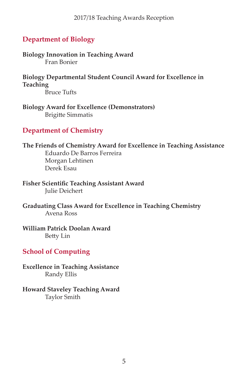#### **Department of Biology**

**Biology Innovation in Teaching Award**  Fran Bonier

**Biology Departmental Student Council Award for Excellence in Teaching** Bruce Tufts

**Biology Award for Excellence (Demonstrators)** Brigitte Simmatis

#### **Department of Chemistry**

**The Friends of Chemistry Award for Excellence in Teaching Assistance** Eduardo De Barros Ferreira Morgan Lehtinen Derek Esau

**Fisher Scientific Teaching Assistant Award** Julie Deichert

**Graduating Class Award for Excellence in Teaching Chemistry** Avena Ross

**William Patrick Doolan Award** Betty Lin

#### **School of Computing**

**Excellence in Teaching Assistance** Randy Ellis

**Howard Staveley Teaching Award** Taylor Smith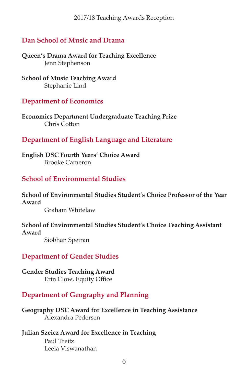#### **Dan School of Music and Drama**

**Queen's Drama Award for Teaching Excellence** Jenn Stephenson

**School of Music Teaching Award** Stephanie Lind

#### **Department of Economics**

**Economics Department Undergraduate Teaching Prize** Chris Cotton

#### **Department of English Language and Literature**

**English DSC Fourth Years' Choice Award** Brooke Cameron

#### **School of Environmental Studies**

**School of Environmental Studies Student's Choice Professor of the Year Award** Graham Whitelaw

**School of Environmental Studies Student's Choice Teaching Assistant Award**

Siobhan Speiran

#### **Department of Gender Studies**

**Gender Studies Teaching Award** Erin Clow, Equity Office

#### **Department of Geography and Planning**

**Geography DSC Award for Excellence in Teaching Assistance** Alexandra Pedersen

#### **Julian Szeicz Award for Excellence in Teaching** Paul Treitz Leela Viswanathan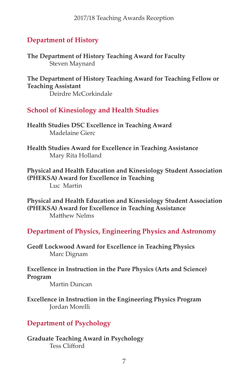#### **Department of History**

**The Department of History Teaching Award for Faculty** Steven Maynard

**The Department of History Teaching Award for Teaching Fellow or Teaching Assistant** Deirdre McCorkindale

#### **School of Kinesiology and Health Studies**

**Health Studies DSC Excellence in Teaching Award** Madelaine Gierc

**Health Studies Award for Excellence in Teaching Assistance**  Mary Rita Holland

**Physical and Health Education and Kinesiology Student Association (PHEKSA) Award for Excellence in Teaching** Luc Martin 

**Physical and Health Education and Kinesiology Student Association (PHEKSA) Award for Excellence in Teaching Assistance** Matthew Nelms

**Department of Physics, Engineering Physics and Astronomy**

**Geoff Lockwood Award for Excellence in Teaching Physics** Marc Dignam

**Excellence in Instruction in the Pure Physics (Arts and Science) Program**

 Martin Duncan

**Excellence in Instruction in the Engineering Physics Program** Jordan Morelli

#### **Department of Psychology**

**Graduate Teaching Award in Psychology** Tess Clifford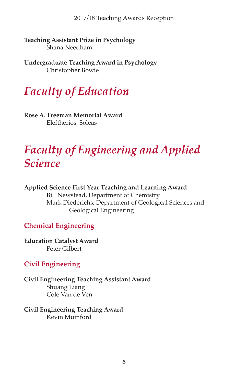**Teaching Assistant Prize in Psychology** Shana Needham

**Undergraduate Teaching Award in Psychology** Christopher Bowie

### *Faculty of Education*

**Rose A. Freeman Memorial Award** Eleftherios Soleas

### *Faculty of Engineering and Applied Science*

#### **Applied Science First Year Teaching and Learning Award** Bill Newstead, Department of Chemistry Mark Diederichs, Department of Geological Sciences and Geological Engineering

#### **Chemical Engineering**

**Education Catalyst Award** Peter Gilbert

#### **Civil Engineering**

**Civil Engineering Teaching Assistant Award** Shuang Liang Cole Van de Ven

#### **Civil Engineering Teaching Award** Kevin Mumford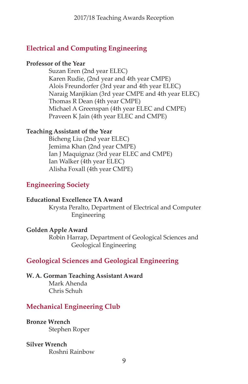#### **Electrical and Computing Engineering**

#### **Professor of the Year**

 Suzan Eren (2nd year ELEC) Karen Rudie, (2nd year and 4th year CMPE) Alois Freundorfer (3rd year and 4th year ELEC) Naraig Manjikian (3rd year CMPE and 4th year ELEC) Thomas R Dean (4th year CMPE) Michael A Greenspan (4th year ELEC and CMPE) Praveen K Jain (4th year ELEC and CMPE)

#### **Teaching Assistant of the Year**

 Bicheng Liu (2nd year ELEC) Jemima Khan (2nd year CMPE) Ian J Maquignaz (3rd year ELEC and CMPE) Ian Walker (4th year ELEC) Alisha Foxall (4th year CMPE)

#### **Engineering Society**

#### **Educational Excellence TA Award**

 Krysta Peralto, Department of Electrical and Computer Engineering

#### **Golden Apple Award**

 Robin Harrap, Department of Geological Sciences and Geological Engineering

#### **Geological Sciences and Geological Engineering**

#### **W. A. Gorman Teaching Assistant Award**

Mark Ahenda Chris Schuh

#### **Mechanical Engineering Club**

**Bronze Wrench** Stephen Roper

#### **Silver Wrench**

Roshni Rainbow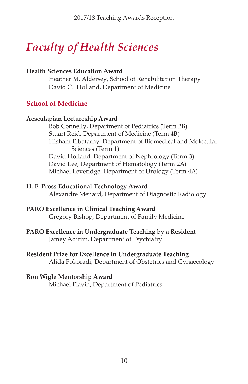### *Faculty of Health Sciences*

#### **Health Sciences Education Award**

 Heather M. Aldersey, School of Rehabilitation Therapy David C. Holland, Department of Medicine

#### **School of Medicine**

#### **Aesculapian Lectureship Award**

 Bob Connelly, Department of Pediatrics (Term 2B) Stuart Reid, Department of Medicine (Term 4B) Hisham Elbatarny, Department of Biomedical and Molecular Sciences (Term 1) David Holland, Department of Nephrology (Term 3) David Lee, Department of Hematology (Term 2A) Michael Leveridge, Department of Urology (Term 4A)

#### **H. F. Pross Educational Technology Award**

 Alexandre Menard, Department of Diagnostic Radiology

#### **PARO Excellence in Clinical Teaching Award**

 Gregory Bishop, Department of Family Medicine

#### **PARO Excellence in Undergraduate Teaching by a Resident** Jamey Adirim, Department of Psychiatry

#### **Resident Prize for Excellence in Undergraduate Teaching**

 Alida Pokoradi, Department of Obstetrics and Gynaecology

#### **Ron Wigle Mentorship Award**

 Michael Flavin, Department of Pediatrics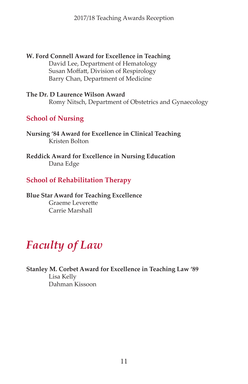**W. Ford Connell Award for Excellence in Teaching** David Lee, Department of Hematology Susan Moffatt, Division of Respirology Barry Chan, Department of Medicine

**The Dr. D Laurence Wilson Award** Romy Nitsch, Department of Obstetrics and Gynaecology

#### **School of Nursing**

**Nursing '84 Award for Excellence in Clinical Teaching** Kristen Bolton

**Reddick Award for Excellence in Nursing Education** Dana Edge

#### **School of Rehabilitation Therapy**

**Blue Star Award for Teaching Excellence** Graeme Leverette Carrie Marshall

### *Faculty of Law*

**Stanley M. Corbet Award for Excellence in Teaching Law '89**  Lisa Kelly Dahman Kissoon